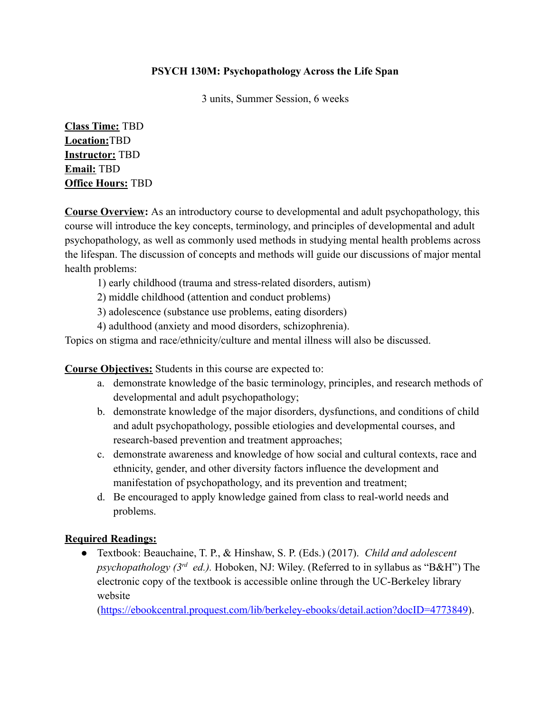#### **PSYCH 130M: Psychopathology Across the Life Span**

3 units, Summer Session, 6 weeks

**Class Time:** TBD **Location:**TBD **Instructor:** TBD **Email:** TBD **Office Hours:** TBD

**Course Overview:** As an introductory course to developmental and adult psychopathology, this course will introduce the key concepts, terminology, and principles of developmental and adult psychopathology, as well as commonly used methods in studying mental health problems across the lifespan. The discussion of concepts and methods will guide our discussions of major mental health problems:

1) early childhood (trauma and stress-related disorders, autism)

2) middle childhood (attention and conduct problems)

3) adolescence (substance use problems, eating disorders)

4) adulthood (anxiety and mood disorders, schizophrenia).

Topics on stigma and race/ethnicity/culture and mental illness will also be discussed.

**Course Objectives:** Students in this course are expected to:

- a. demonstrate knowledge of the basic terminology, principles, and research methods of developmental and adult psychopathology;
- b. demonstrate knowledge of the major disorders, dysfunctions, and conditions of child and adult psychopathology, possible etiologies and developmental courses, and research-based prevention and treatment approaches;
- c. demonstrate awareness and knowledge of how social and cultural contexts, race and ethnicity, gender, and other diversity factors influence the development and manifestation of psychopathology, and its prevention and treatment;
- d. Be encouraged to apply knowledge gained from class to real-world needs and problems.

### **Required Readings:**

● Textbook: Beauchaine, T. P., & Hinshaw, S. P. (Eds.) (2017). *Child and adolescent psychopathology (3rd ed.).* Hoboken, NJ: Wiley. (Referred to in syllabus as "B&H") The electronic copy of the textbook is accessible online through the UC-Berkeley library website

(<https://ebookcentral.proquest.com/lib/berkeley-ebooks/detail.action?docID=4773849>).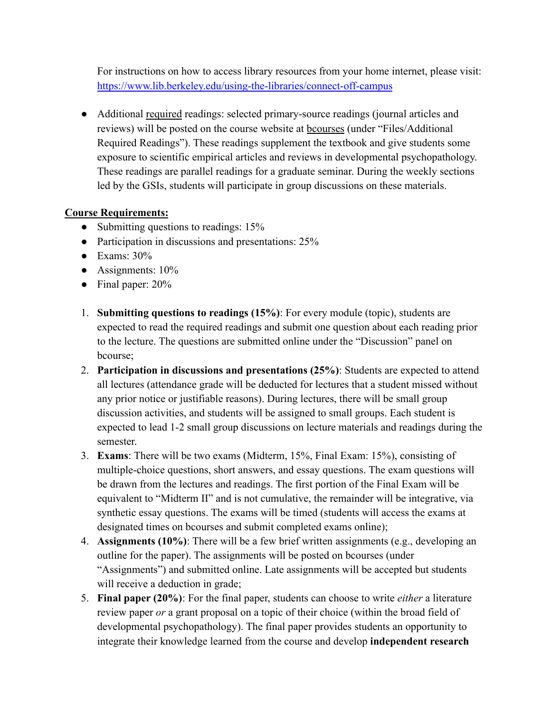For instructions on how to access library resources from your home internet, please visit: <https://www.lib.berkeley.edu/using-the-libraries/connect-off-campus>

● Additional required readings: selected primary-source readings (journal articles and reviews) will be posted on the course website at **bcourses** (under "Files/Additional Required Readings"). These readings supplement the textbook and give students some exposure to scientific empirical articles and reviews in developmental psychopathology. These readings are parallel readings for a graduate seminar. During the weekly sections led by the GSIs, students will participate in group discussions on these materials.

#### **Course Requirements:**

- Submitting questions to readings: 15%
- Participation in discussions and presentations: 25%
- $\bullet$  Exams: 30%
- Assignments: 10%
- Final paper: 20%
- 1. **Submitting questions to readings (15%)**: For every module (topic), students are expected to read the required readings and submit one question about each reading prior to the lecture. The questions are submitted online under the "Discussion" panel on bcourse;
- 2. **Participation in discussions and presentations (25%)**: Students are expected to attend all lectures (attendance grade will be deducted for lectures that a student missed without any prior notice or justifiable reasons). During lectures, there will be small group discussion activities, and students will be assigned to small groups. Each student is expected to lead 1-2 small group discussions on lecture materials and readings during the semester.
- 3. **Exams**: There will be two exams (Midterm, 15%, Final Exam: 15%), consisting of multiple-choice questions, short answers, and essay questions. The exam questions will be drawn from the lectures and readings. The first portion of the Final Exam will be equivalent to "Midterm II" and is not cumulative, the remainder will be integrative, via synthetic essay questions. The exams will be timed (students will access the exams at designated times on bcourses and submit completed exams online);
- 4. **Assignments (10%)**: There will be a few brief written assignments (e.g., developing an outline for the paper). The assignments will be posted on bcourses (under "Assignments") and submitted online. Late assignments will be accepted but students will receive a deduction in grade;
- 5. **Final paper (20%)**: For the final paper, students can choose to write *either* a literature review paper *or* a grant proposal on a topic of their choice (within the broad field of developmental psychopathology). The final paper provides students an opportunity to integrate their knowledge learned from the course and develop **independent research**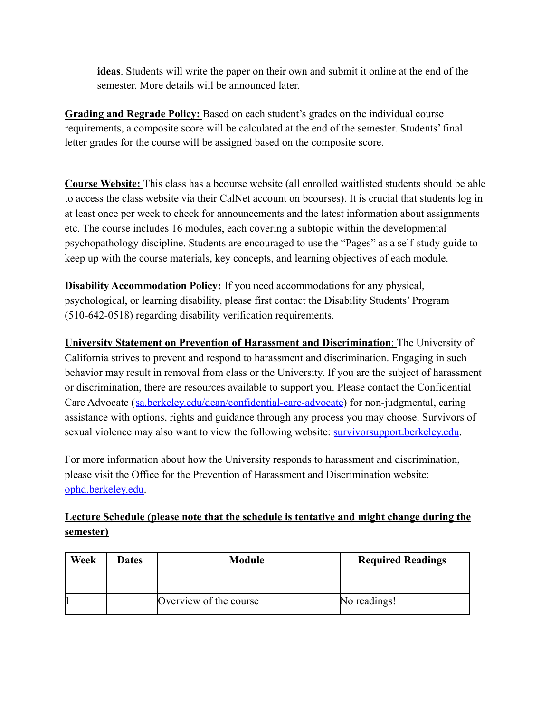**ideas**. Students will write the paper on their own and submit it online at the end of the semester. More details will be announced later.

**Grading and Regrade Policy:** Based on each student's grades on the individual course requirements, a composite score will be calculated at the end of the semester. Students' final letter grades for the course will be assigned based on the composite score.

**Course Website:** This class has a bcourse website (all enrolled waitlisted students should be able to access the class website via their CalNet account on bcourses). It is crucial that students log in at least once per week to check for announcements and the latest information about assignments etc. The course includes 16 modules, each covering a subtopic within the developmental psychopathology discipline. Students are encouraged to use the "Pages" as a self-study guide to keep up with the course materials, key concepts, and learning objectives of each module.

**Disability Accommodation Policy:** If you need accommodations for any physical, psychological, or learning disability, please first contact the Disability Students' Program (510-642-0518) regarding disability verification requirements.

**University Statement on Prevention of Harassment and Discrimination**: The University of California strives to prevent and respond to harassment and discrimination. Engaging in such behavior may result in removal from class or the University. If you are the subject of harassment or discrimination, there are resources available to support you. Please contact the Confidential Care Advocate ([sa.berkeley.edu/dean/confidential-care-advocate\)](http://sa.berkeley.edu/dean/confidential-care-advocate) for non-judgmental, caring assistance with options, rights and guidance through any process you may choose. Survivors of sexual violence may also want to view the following website: [survivorsupport.berkeley.edu](http://survivorsupport.berkeley.edu/).

For more information about how the University responds to harassment and discrimination, please visit the Office for the Prevention of Harassment and Discrimination website: [ophd.berkeley.edu.](http://ophd.berkeley.edu/)

# **Lecture Schedule (please note that the schedule is tentative and might change during the semester)**

| <b>Week</b> | <b>Dates</b> | Module                 | <b>Required Readings</b> |
|-------------|--------------|------------------------|--------------------------|
|             |              | Overview of the course | No readings!             |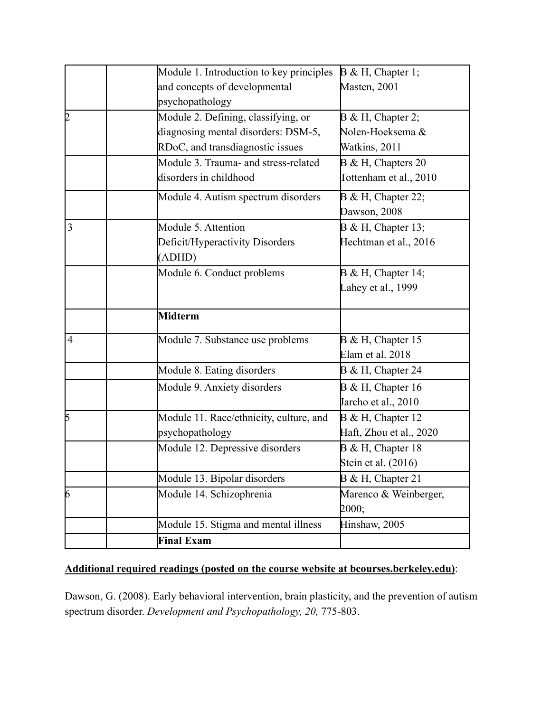|   | Module 1. Introduction to key principles | $B \& H, Chapter 1;$      |
|---|------------------------------------------|---------------------------|
|   | and concepts of developmental            | Masten, 2001              |
|   | psychopathology                          |                           |
| þ | Module 2. Defining, classifying, or      | $B \& H, Chapter 2;$      |
|   | diagnosing mental disorders: DSM-5,      | Nolen-Hoeksema &          |
|   | RDoC, and transdiagnostic issues         | Watkins, 2011             |
|   | Module 3. Trauma- and stress-related     | <b>B</b> & H, Chapters 20 |
|   | disorders in childhood                   | Tottenham et al., 2010    |
|   | Module 4. Autism spectrum disorders      | B & H, Chapter 22;        |
|   |                                          | Dawson, 2008              |
| 3 | Module 5. Attention                      | $B \& H, Chapter 13;$     |
|   | Deficit/Hyperactivity Disorders          | Hechtman et al., 2016     |
|   | (ADHD)                                   |                           |
|   | Module 6. Conduct problems               | $B & H$ , Chapter 14;     |
|   |                                          | Lahey et al., 1999        |
|   | <b>Midterm</b>                           |                           |
| 4 | Module 7. Substance use problems         | $B \& H$ , Chapter 15     |
|   |                                          | Elam et al. 2018          |
|   | Module 8. Eating disorders               | B & H, Chapter 24         |
|   | Module 9. Anxiety disorders              | $B & H$ , Chapter 16      |
|   |                                          | Jarcho et al., 2010       |
| 5 | Module 11. Race/ethnicity, culture, and  | B & H, Chapter 12         |
|   | psychopathology                          | Haft, Zhou et al., 2020   |
|   | Module 12. Depressive disorders          | B & H, Chapter 18         |
|   |                                          | Stein et al. $(2016)$     |
|   | Module 13. Bipolar disorders             | $B \& H, Chapter 21$      |
|   |                                          |                           |
| 6 | Module 14. Schizophrenia                 | Marenco & Weinberger,     |
|   |                                          | 2000;                     |
|   | Module 15. Stigma and mental illness     | Hinshaw, 2005             |

## **Additional required readings (posted on the course website at bcourses.berkeley.edu)**:

Dawson, G. (2008). Early behavioral intervention, brain plasticity, and the prevention of autism spectrum disorder. *Development and Psychopathology, 20,* 775-803.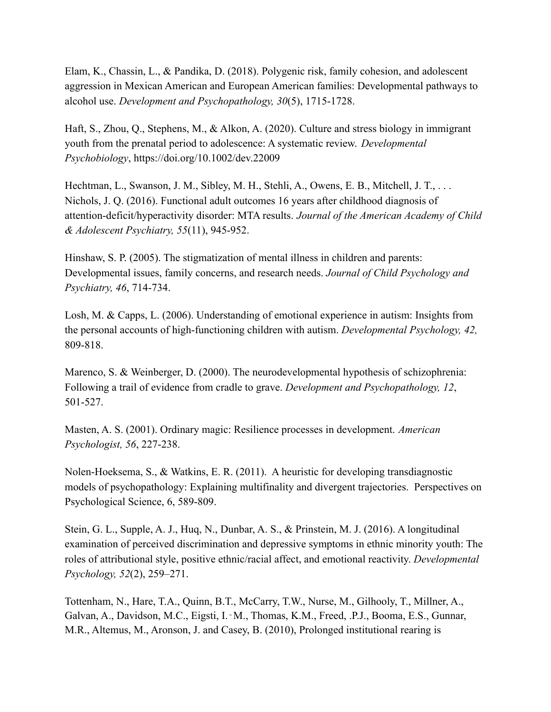Elam, K., Chassin, L., & Pandika, D. (2018). Polygenic risk, family cohesion, and adolescent aggression in Mexican American and European American families: Developmental pathways to alcohol use. *Development and Psychopathology, 30*(5), 1715-1728.

Haft, S., Zhou, Q., Stephens, M., & Alkon, A. (2020). Culture and stress biology in immigrant youth from the prenatal period to adolescence: A systematic review. *Developmental Psychobiology*, https://doi.org/10.1002/dev.22009

Hechtman, L., Swanson, J. M., Sibley, M. H., Stehli, A., Owens, E. B., Mitchell, J. T., ... Nichols, J. Q. (2016). Functional adult outcomes 16 years after childhood diagnosis of attention-deficit/hyperactivity disorder: MTA results. *Journal of the American Academy of Child & Adolescent Psychiatry, 55*(11), 945-952.

Hinshaw, S. P. (2005). The stigmatization of mental illness in children and parents: Developmental issues, family concerns, and research needs. *Journal of Child Psychology and Psychiatry, 46*, 714-734.

Losh, M. & Capps, L. (2006). Understanding of emotional experience in autism: Insights from the personal accounts of high-functioning children with autism. *Developmental Psychology, 42,* 809-818.

Marenco, S. & Weinberger, D. (2000). The neurodevelopmental hypothesis of schizophrenia: Following a trail of evidence from cradle to grave. *Development and Psychopathology, 12*, 501-527.

Masten, A. S. (2001). Ordinary magic: Resilience processes in development. *American Psychologist, 56*, 227-238.

Nolen-Hoeksema, S., & Watkins, E. R. (2011). A heuristic for developing transdiagnostic models of psychopathology: Explaining multifinality and divergent trajectories. Perspectives on Psychological Science, 6, 589-809.

Stein, G. L., Supple, A. J., Huq, N., Dunbar, A. S., & Prinstein, M. J. (2016). A longitudinal examination of perceived discrimination and depressive symptoms in ethnic minority youth: The roles of attributional style, positive ethnic/racial affect, and emotional reactivity. *Developmental Psychology, 52*(2), 259–271.

Tottenham, N., Hare, T.A., Quinn, B.T., McCarry, T.W., Nurse, M., Gilhooly, T., Millner, A., Galvan, A., Davidson, M.C., Eigsti, I.‐M., Thomas, K.M., Freed, .P.J., Booma, E.S., Gunnar, M.R., Altemus, M., Aronson, J. and Casey, B. (2010), Prolonged institutional rearing is